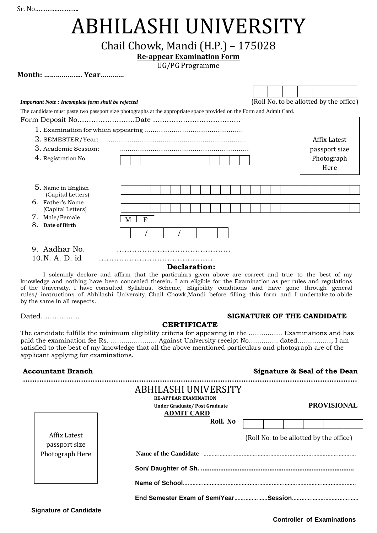Sr. No…………………….

**Month: ……………….. Year…………**

# ABHILASHI UNIVERSITY

# Chail Chowk, Mandi (H.P.) – 175028

## **Re-appear Examination Form**

UG/PG Programme

| (Roll No. to be allotted by the office)<br><b>Important Note: Incomplete form shall be rejected</b> |                                                                                                                      |  |  |  |  |  |  |              |               |  |  |
|-----------------------------------------------------------------------------------------------------|----------------------------------------------------------------------------------------------------------------------|--|--|--|--|--|--|--------------|---------------|--|--|
|                                                                                                     | The candidate must paste two passport size photographs at the appropriate space provided on the Form and Admit Card. |  |  |  |  |  |  |              |               |  |  |
|                                                                                                     |                                                                                                                      |  |  |  |  |  |  |              |               |  |  |
|                                                                                                     |                                                                                                                      |  |  |  |  |  |  |              |               |  |  |
| 2. SEMESTER/Year:                                                                                   |                                                                                                                      |  |  |  |  |  |  | Affix Latest |               |  |  |
| 3. Academic Session:                                                                                |                                                                                                                      |  |  |  |  |  |  |              | passport size |  |  |
| 4. Registration No                                                                                  |                                                                                                                      |  |  |  |  |  |  | Photograph   |               |  |  |
|                                                                                                     |                                                                                                                      |  |  |  |  |  |  | Here         |               |  |  |
|                                                                                                     |                                                                                                                      |  |  |  |  |  |  |              |               |  |  |
| 5. Name in English<br>(Capital Letters)                                                             |                                                                                                                      |  |  |  |  |  |  |              |               |  |  |
| 6. Father's Name                                                                                    |                                                                                                                      |  |  |  |  |  |  |              |               |  |  |
| (Capital Letters)                                                                                   |                                                                                                                      |  |  |  |  |  |  |              |               |  |  |
| 8.                                                                                                  | 7. Male/Female<br>$\mathbf{F}$<br>M                                                                                  |  |  |  |  |  |  |              |               |  |  |
| Date of Birth                                                                                       |                                                                                                                      |  |  |  |  |  |  |              |               |  |  |
| 9. Aadhar No.                                                                                       |                                                                                                                      |  |  |  |  |  |  |              |               |  |  |
| 10.N.A.D. id                                                                                        |                                                                                                                      |  |  |  |  |  |  |              |               |  |  |
| <b>Declaration:</b>                                                                                 |                                                                                                                      |  |  |  |  |  |  |              |               |  |  |

I solemnly declare and affirm that the particulars given above are correct and true to the best of my knowledge and nothing have been concealed therein. I am eligible for the Examination as per rules and regulations of the University. I have consulted Syllabus, Scheme, Eligibility conditions and have gone through general rules/ instructions of Abhilashi University, Chail Chowk,Mandi before filling this form and I undertake to abide by the same in all respects.

### Dated…………….. **SIGNATURE OF THE CANDIDATE**

### **CERTIFICATE**

The candidate fulfills the minimum eligibility criteria for appearing in the ……………. Examinations and has paid the examination fee Rs. …………………. Against University receipt No………….. dated…….………, I am satisfied to the best of my knowledge that all the above mentioned particulars and photograph are of the applicant applying for examinations.

### **Accountant Branch Signature & Seal of the Dean**

|                               | ABHILASHI UNIVERSITY<br><b>RE-APPEAR EXAMINATION</b><br>Under Graduate/Post Graduate<br><b>ADMIT CARD</b> | <b>PROVISIONAL</b>                      |
|-------------------------------|-----------------------------------------------------------------------------------------------------------|-----------------------------------------|
|                               | Roll. No                                                                                                  |                                         |
| Affix Latest<br>passport size |                                                                                                           | (Roll No. to be allotted by the office) |
| Photograph Here               | Name of the Candidate                                                                                     |                                         |
|                               |                                                                                                           |                                         |
|                               | Name of School                                                                                            |                                         |
|                               |                                                                                                           |                                         |

 **Signature of Candidate**